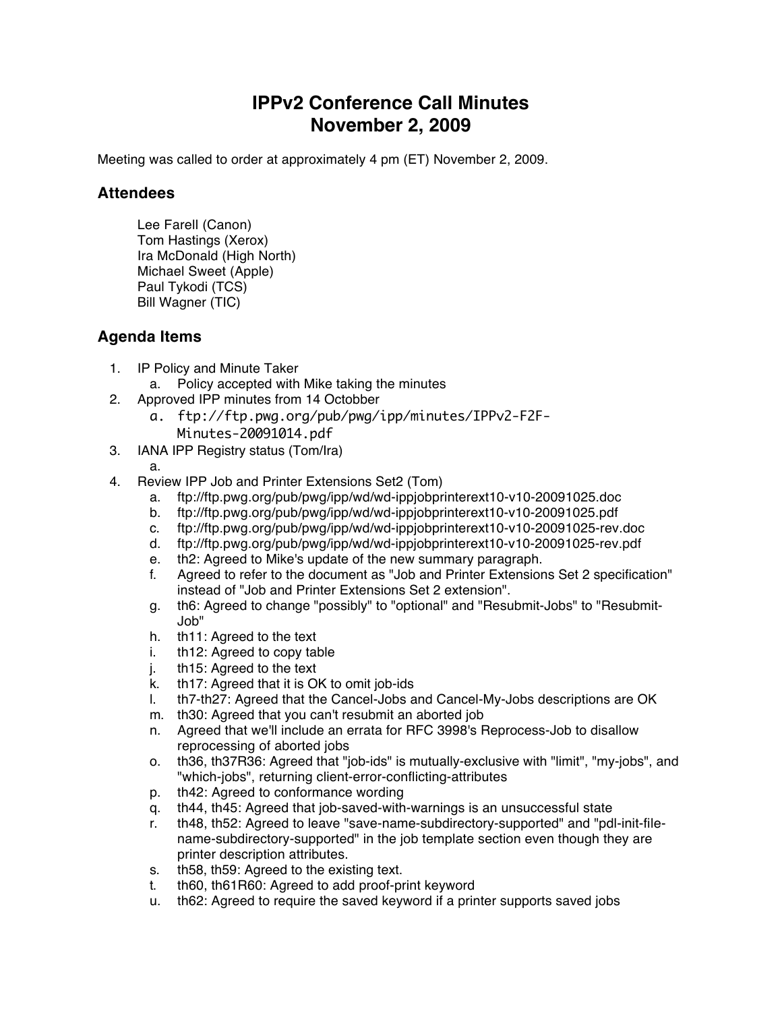## **IPPv2 Conference Call Minutes November 2, 2009**

Meeting was called to order at approximately 4 pm (ET) November 2, 2009.

## **Attendees**

Lee Farell (Canon) Tom Hastings (Xerox) Ira McDonald (High North) Michael Sweet (Apple) Paul Tykodi (TCS) Bill Wagner (TIC)

## **Agenda Items**

- 1. IP Policy and Minute Taker
	- a. Policy accepted with Mike taking the minutes
- 2. Approved IPP minutes from 14 Octobber
	- a. ftp://ftp.pwg.org/pub/pwg/ipp/minutes/IPPv2-F2F-Minutes-20091014.pdf
- 3. IANA IPP Registry status (Tom/Ira)
	-

a.

- 4. Review IPP Job and Printer Extensions Set2 (Tom)
	- a. <ftp://ftp.pwg.org/pub/pwg/ipp/wd/wd-ippjobprinterext10-v10-20091025.doc>
	- b. [ftp://ftp.pwg.org/pub/pwg/ipp/wd/wd-ippjobprinterext10-v10-20091025.pdf](ftp://ftp.pwg.org/pub/pwg/ipp/wd/wd-ippprodprintext10-v10-20091025.pdf)
	- c. <ftp://ftp.pwg.org/pub/pwg/ipp/wd/wd-ippjobprinterext10-v10-20091025-rev.doc>
	- d. <ftp://ftp.pwg.org/pub/pwg/ipp/wd/wd-ippjobprinterext10-v10-20091025-rev.pdf>
	- e. th2: Agreed to Mike's update of the new summary paragraph.
	- f. Agreed to refer to the document as "Job and Printer Extensions Set 2 specification" instead of "Job and Printer Extensions Set 2 extension".
	- g. th6: Agreed to change "possibly" to "optional" and "Resubmit-Jobs" to "Resubmit-Job"
	- h. th11: Agreed to the text
	- i. th12: Agreed to copy table
	- j. th15: Agreed to the text
	- k. th17: Agreed that it is OK to omit job-ids
	- l. th7-th27: Agreed that the Cancel-Jobs and Cancel-My-Jobs descriptions are OK
	- m. th30: Agreed that you can't resubmit an aborted job
	- n. Agreed that we'll include an errata for RFC 3998's Reprocess-Job to disallow reprocessing of aborted jobs
	- o. th36, th37R36: Agreed that "job-ids" is mutually-exclusive with "limit", "my-jobs", and "which-jobs", returning client-error-conflicting-attributes
	- p. th42: Agreed to conformance wording
	- q. th44, th45: Agreed that job-saved-with-warnings is an unsuccessful state
	- r. th48, th52: Agreed to leave "save-name-subdirectory-supported" and "pdl-init-filename-subdirectory-supported" in the job template section even though they are printer description attributes.
	- s. th58, th59: Agreed to the existing text.
	- t. th60, th61R60: Agreed to add proof-print keyword
	- u. th62: Agreed to require the saved keyword if a printer supports saved jobs